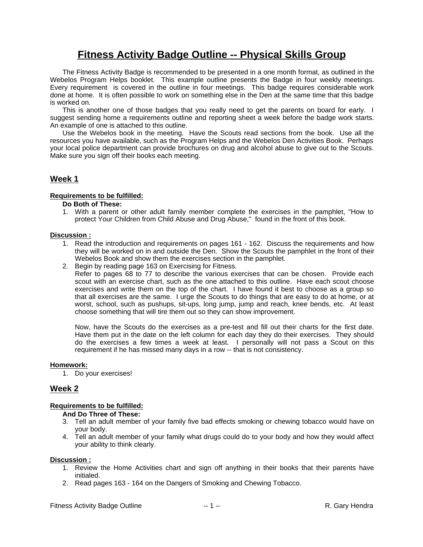## **Fitness Activity Badge Outline -- Physical Skills Group**

The Fitness Activity Badge is recommended to be presented in a one month format, as outlined in the Webelos Program Helps booklet. This example outline presents the Badge in four weekly meetings. Every requirement is covered in the outline in four meetings. This badge requires considerable work done at home. It is often possible to work on something else in the Den at the same time that this badge is worked on.

This is another one of those badges that you really need to get the parents on board for early. I suggest sending home a requirements outline and reporting sheet a week before the badge work starts. An example of one is attached to this outline.

Use the Webelos book in the meeting. Have the Scouts read sections from the book. Use all the resources you have available, such as the Program Helps and the Webelos Den Activities Book. Perhaps your local police department can provide brochures on drug and alcohol abuse to give out to the Scouts. Make sure you sign off their books each meeting.

## **Week 1**

## **Requirements to be fulfilled:**

## **Do Both of These:**

1. With a parent or other adult family member complete the exercises in the pamphlet, "How to protect Your Children from Child Abuse and Drug Abuse," found in the front of this book.

## **Discussion :**

- 1. Read the introduction and requirements on pages 161 162. Discuss the requirements and how they will be worked on in and outside the Den. Show the Scouts the pamphlet in the front of their Webelos Book and show them the exercises section in the pamphlet.
- 2. Begin by reading page 163 on Exercising for Fitness.

Refer to pages 68 to 77 to describe the various exercises that can be chosen. Provide each scout with an exercise chart, such as the one attached to this outline. Have each scout choose exercises and write them on the top of the chart. I have found it best to choose as a group so that all exercises are the same. I urge the Scouts to do things that are easy to do at home, or at worst, school, such as pushups, sit-ups, long jump, jump and reach, knee bends, etc. At least choose something that will tire them out so they can show improvement.

Now, have the Scouts do the exercises as a pre-test and fill out their charts for the first date. Have them put in the date on the left column for each day they do their exercises. They should do the exercises a few times a week at least. I personally will not pass a Scout on this requirement if he has missed many days in a row -- that is not consistency.

### **Homework:**

1. Do your exercises!

## **Week 2**

### **Requirements to be fulfilled:**

### **And Do Three of These:**

- 3. Tell an adult member of your family five bad effects smoking or chewing tobacco would have on your body.
- 4. Tell an adult member of your family what drugs could do to your body and how they would affect your ability to think clearly.

### **Discussion :**

- 1. Review the Home Activities chart and sign off anything in their books that their parents have initialed.
- 2. Read pages 163 164 on the Dangers of Smoking and Chewing Tobacco.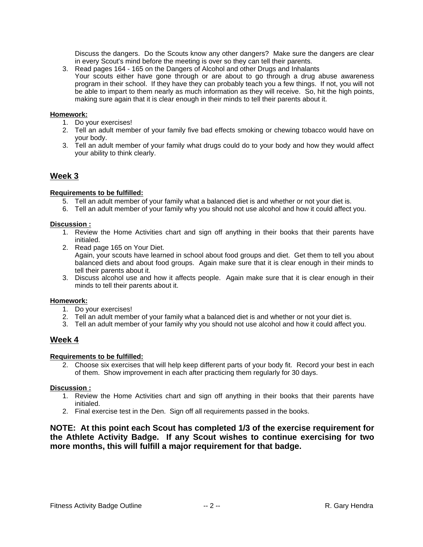Discuss the dangers. Do the Scouts know any other dangers? Make sure the dangers are clear in every Scout's mind before the meeting is over so they can tell their parents.

3. Read pages 164 - 165 on the Dangers of Alcohol and other Drugs and Inhalants Your scouts either have gone through or are about to go through a drug abuse awareness program in their school. If they have they can probably teach you a few things. If not, you will not be able to impart to them nearly as much information as they will receive. So, hit the high points, making sure again that it is clear enough in their minds to tell their parents about it.

## **Homework:**

- 1. Do your exercises!
- 2. Tell an adult member of your family five bad effects smoking or chewing tobacco would have on your body.
- 3. Tell an adult member of your family what drugs could do to your body and how they would affect your ability to think clearly.

## **Week 3**

## **Requirements to be fulfilled:**

- 5. Tell an adult member of your family what a balanced diet is and whether or not your diet is.
- 6. Tell an adult member of your family why you should not use alcohol and how it could affect you.

## **Discussion :**

- 1. Review the Home Activities chart and sign off anything in their books that their parents have initialed.
- 2. Read page 165 on Your Diet. Again, your scouts have learned in school about food groups and diet. Get them to tell you about balanced diets and about food groups. Again make sure that it is clear enough in their minds to tell their parents about it.
- 3. Discuss alcohol use and how it affects people. Again make sure that it is clear enough in their minds to tell their parents about it.

### **Homework:**

- 1. Do your exercises!
- 2. Tell an adult member of your family what a balanced diet is and whether or not your diet is.
- 3. Tell an adult member of your family why you should not use alcohol and how it could affect you.

## **Week 4**

### **Requirements to be fulfilled:**

2. Choose six exercises that will help keep different parts of your body fit. Record your best in each of them. Show improvement in each after practicing them regularly for 30 days.

## **Discussion :**

- 1. Review the Home Activities chart and sign off anything in their books that their parents have initialed.
- 2. Final exercise test in the Den. Sign off all requirements passed in the books.

**NOTE: At this point each Scout has completed 1/3 of the exercise requirement for the Athlete Activity Badge. If any Scout wishes to continue exercising for two more months, this will fulfill a major requirement for that badge.**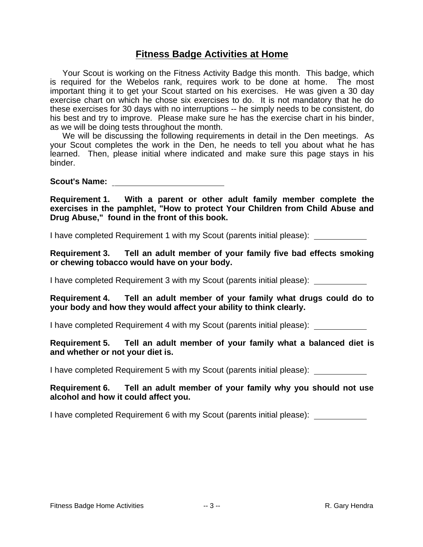## **Fitness Badge Activities at Home**

Your Scout is working on the Fitness Activity Badge this month. This badge, which is required for the Webelos rank, requires work to be done at home. The most important thing it to get your Scout started on his exercises. He was given a 30 day exercise chart on which he chose six exercises to do. It is not mandatory that he do these exercises for 30 days with no interruptions -- he simply needs to be consistent, do his best and try to improve. Please make sure he has the exercise chart in his binder, as we will be doing tests throughout the month.

We will be discussing the following requirements in detail in the Den meetings. As your Scout completes the work in the Den, he needs to tell you about what he has learned. Then, please initial where indicated and make sure this page stays in his binder.

**Scout's Name:** 

**Requirement 1. With a parent or other adult family member complete the exercises in the pamphlet, "How to protect Your Children from Child Abuse and Drug Abuse," found in the front of this book.**

I have completed Requirement 1 with my Scout (parents initial please):

**Requirement 3. Tell an adult member of your family five bad effects smoking or chewing tobacco would have on your body.**

I have completed Requirement 3 with my Scout (parents initial please):

**Requirement 4. Tell an adult member of your family what drugs could do to your body and how they would affect your ability to think clearly.**

I have completed Requirement 4 with my Scout (parents initial please):

**Requirement 5. Tell an adult member of your family what a balanced diet is and whether or not your diet is.**

I have completed Requirement 5 with my Scout (parents initial please):

**Requirement 6. Tell an adult member of your family why you should not use alcohol and how it could affect you.**

I have completed Requirement 6 with my Scout (parents initial please):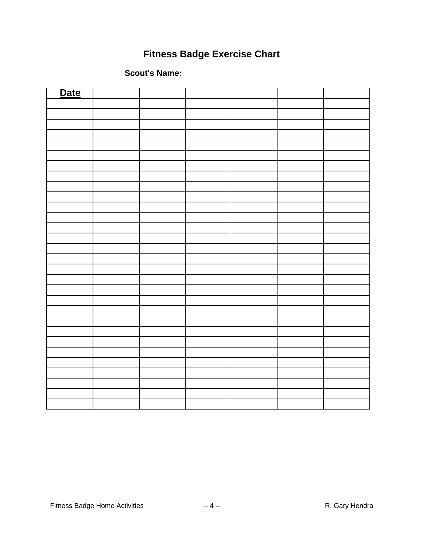# **Fitness Badge Exercise Chart**

**Scout's Name:** 

| Date |  |  |  |
|------|--|--|--|
|      |  |  |  |
|      |  |  |  |
|      |  |  |  |
|      |  |  |  |
|      |  |  |  |
|      |  |  |  |
|      |  |  |  |
|      |  |  |  |
|      |  |  |  |
|      |  |  |  |
|      |  |  |  |
|      |  |  |  |
|      |  |  |  |
|      |  |  |  |
|      |  |  |  |
|      |  |  |  |
|      |  |  |  |
|      |  |  |  |
|      |  |  |  |
|      |  |  |  |
|      |  |  |  |
|      |  |  |  |
|      |  |  |  |
|      |  |  |  |
|      |  |  |  |
|      |  |  |  |
|      |  |  |  |
|      |  |  |  |
|      |  |  |  |
|      |  |  |  |